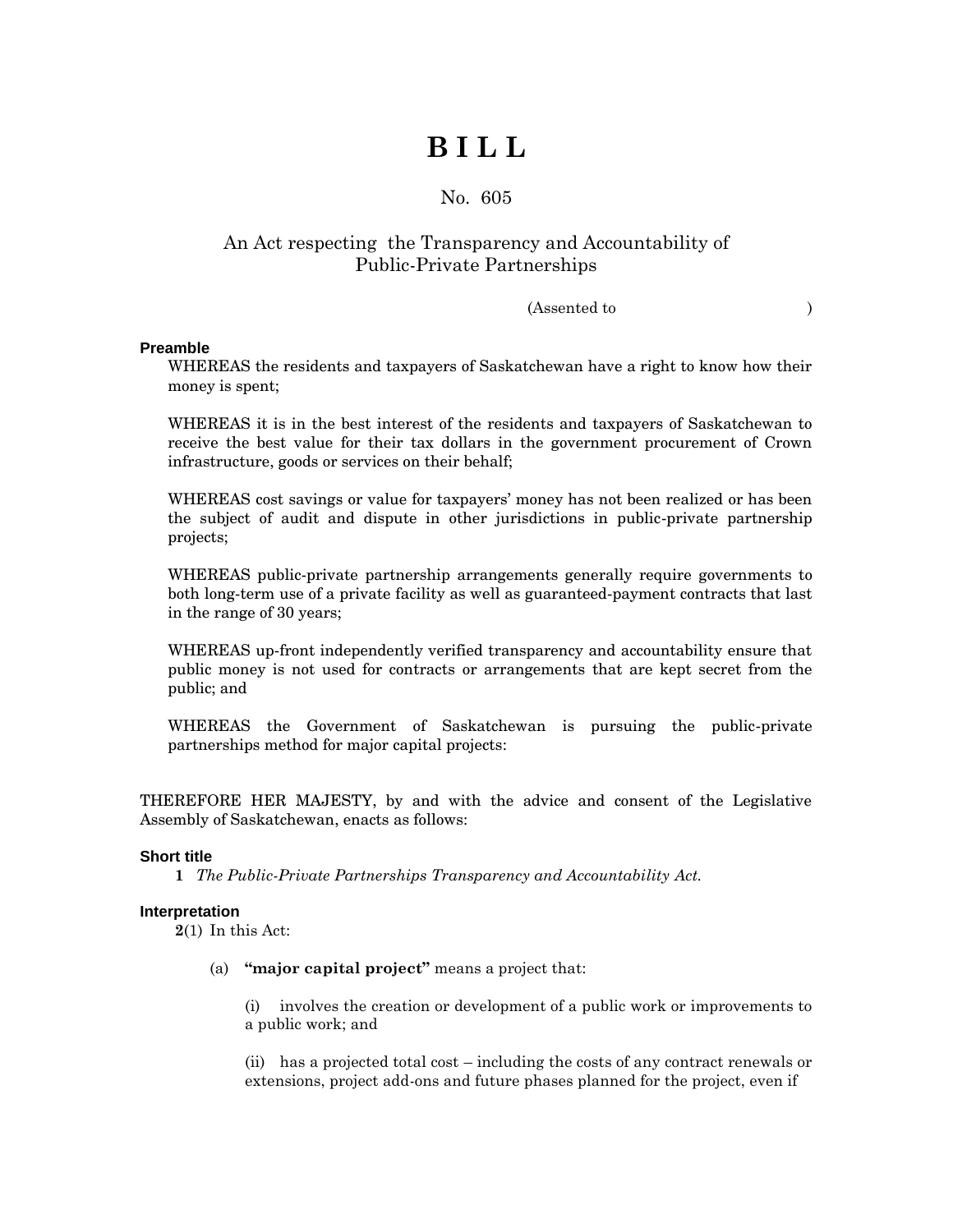# **B I L L**

### No. 605

## An Act respecting the Transparency and Accountability of Public-Private Partnerships

#### (Assented to )

#### **Preamble**

WHEREAS the residents and taxpayers of Saskatchewan have a right to know how their money is spent;

WHEREAS it is in the best interest of the residents and taxpayers of Saskatchewan to receive the best value for their tax dollars in the government procurement of Crown infrastructure, goods or services on their behalf;

WHEREAS cost savings or value for taxpayers' money has not been realized or has been the subject of audit and dispute in other jurisdictions in public-private partnership projects;

WHEREAS public-private partnership arrangements generally require governments to both long-term use of a private facility as well as guaranteed-payment contracts that last in the range of 30 years;

WHEREAS up-front independently verified transparency and accountability ensure that public money is not used for contracts or arrangements that are kept secret from the public; and

WHEREAS the Government of Saskatchewan is pursuing the public-private partnerships method for major capital projects:

THEREFORE HER MAJESTY, by and with the advice and consent of the Legislative Assembly of Saskatchewan, enacts as follows:

#### **Short title**

**1** *The Public-Private Partnerships Transparency and Accountability Act.*

#### **Interpretation**

**2**(1) In this Act:

(a) **"major capital project"** means a project that:

(i) involves the creation or development of a public work or improvements to a public work; and

(ii) has a projected total cost – including the costs of any contract renewals or extensions, project add-ons and future phases planned for the project, even if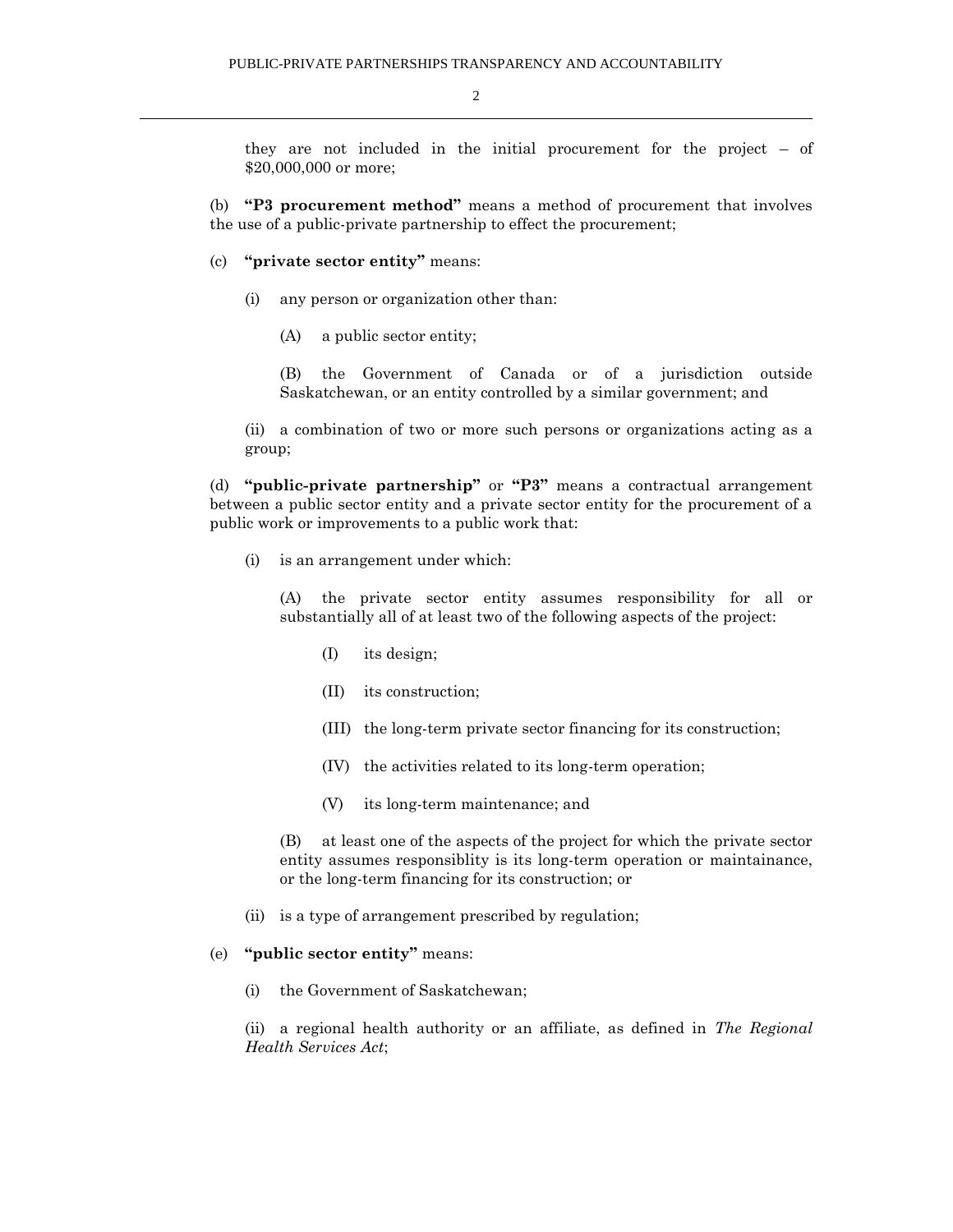2

they are not included in the initial procurement for the project – of \$20,000,000 or more;

(b) **"P3 procurement method"** means a method of procurement that involves the use of a public-private partnership to effect the procurement;

- (c) **"private sector entity"** means:
	- (i) any person or organization other than:
		- (A) a public sector entity;

(B) the Government of Canada or of a jurisdiction outside Saskatchewan, or an entity controlled by a similar government; and

(ii) a combination of two or more such persons or organizations acting as a group;

(d) **"public-private partnership"** or **"P3"** means a contractual arrangement between a public sector entity and a private sector entity for the procurement of a public work or improvements to a public work that:

(i) is an arrangement under which:

(A) the private sector entity assumes responsibility for all or substantially all of at least two of the following aspects of the project:

- (I) its design;
- (II) its construction;
- (III) the long-term private sector financing for its construction;
- (IV) the activities related to its long-term operation;
- (V) its long-term maintenance; and

(B) at least one of the aspects of the project for which the private sector entity assumes responsiblity is its long-term operation or maintainance, or the long-term financing for its construction; or

- (ii) is a type of arrangement prescribed by regulation;
- (e) **"public sector entity"** means:
	- (i) the Government of Saskatchewan;

(ii) a regional health authority or an affiliate, as defined in *The Regional Health Services Act*;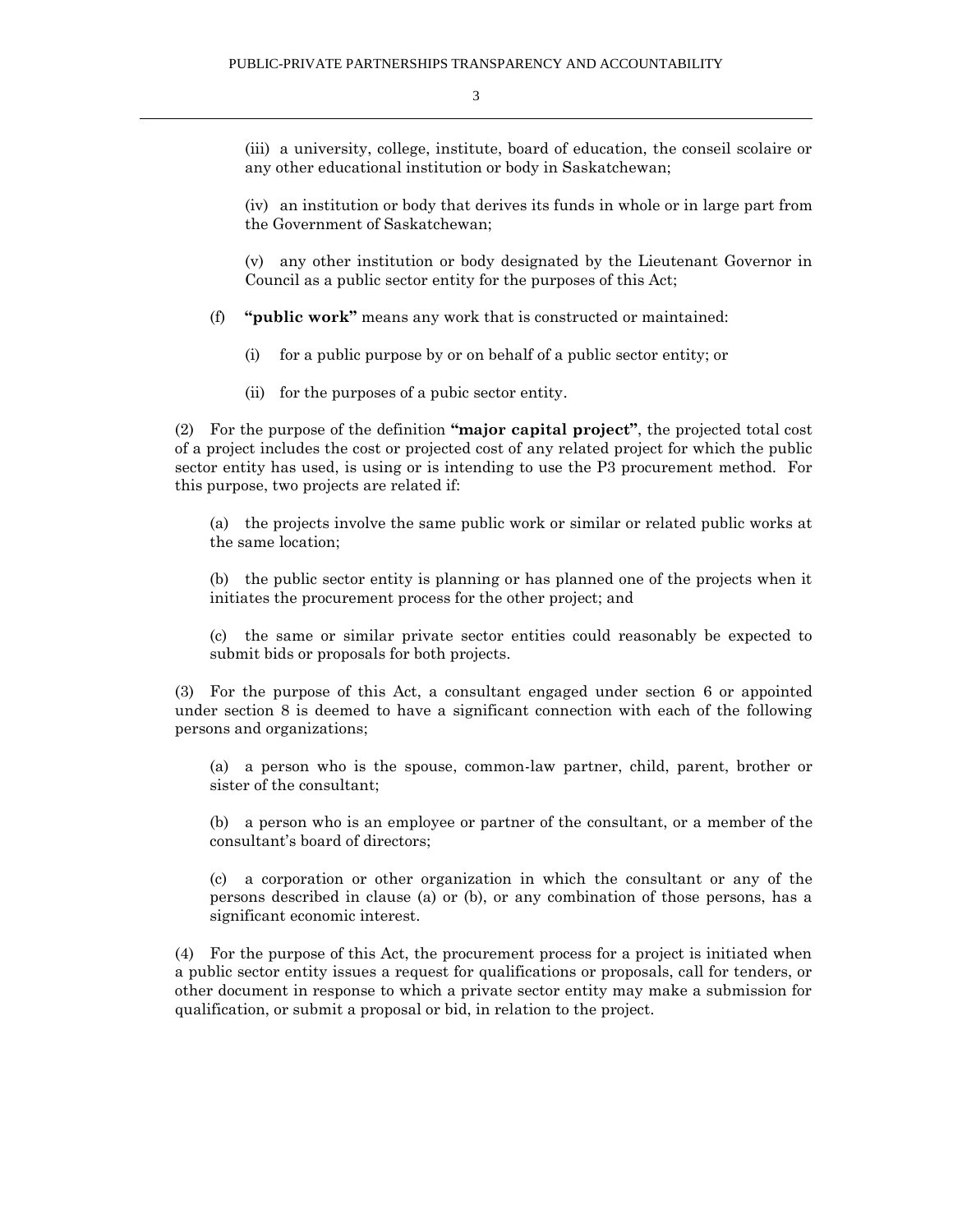(iii) a university, college, institute, board of education, the conseil scolaire or any other educational institution or body in Saskatchewan;

(iv) an institution or body that derives its funds in whole or in large part from the Government of Saskatchewan;

(v) any other institution or body designated by the Lieutenant Governor in Council as a public sector entity for the purposes of this Act;

(f) **"public work"** means any work that is constructed or maintained:

(i) for a public purpose by or on behalf of a public sector entity; or

(ii) for the purposes of a pubic sector entity.

(2) For the purpose of the definition **"major capital project"**, the projected total cost of a project includes the cost or projected cost of any related project for which the public sector entity has used, is using or is intending to use the P3 procurement method. For this purpose, two projects are related if:

(a) the projects involve the same public work or similar or related public works at the same location;

(b) the public sector entity is planning or has planned one of the projects when it initiates the procurement process for the other project; and

(c) the same or similar private sector entities could reasonably be expected to submit bids or proposals for both projects.

(3) For the purpose of this Act, a consultant engaged under section 6 or appointed under section 8 is deemed to have a significant connection with each of the following persons and organizations;

(a) a person who is the spouse, common-law partner, child, parent, brother or sister of the consultant;

(b) a person who is an employee or partner of the consultant, or a member of the consultant's board of directors;

(c) a corporation or other organization in which the consultant or any of the persons described in clause (a) or (b), or any combination of those persons, has a significant economic interest.

(4) For the purpose of this Act, the procurement process for a project is initiated when a public sector entity issues a request for qualifications or proposals, call for tenders, or other document in response to which a private sector entity may make a submission for qualification, or submit a proposal or bid, in relation to the project.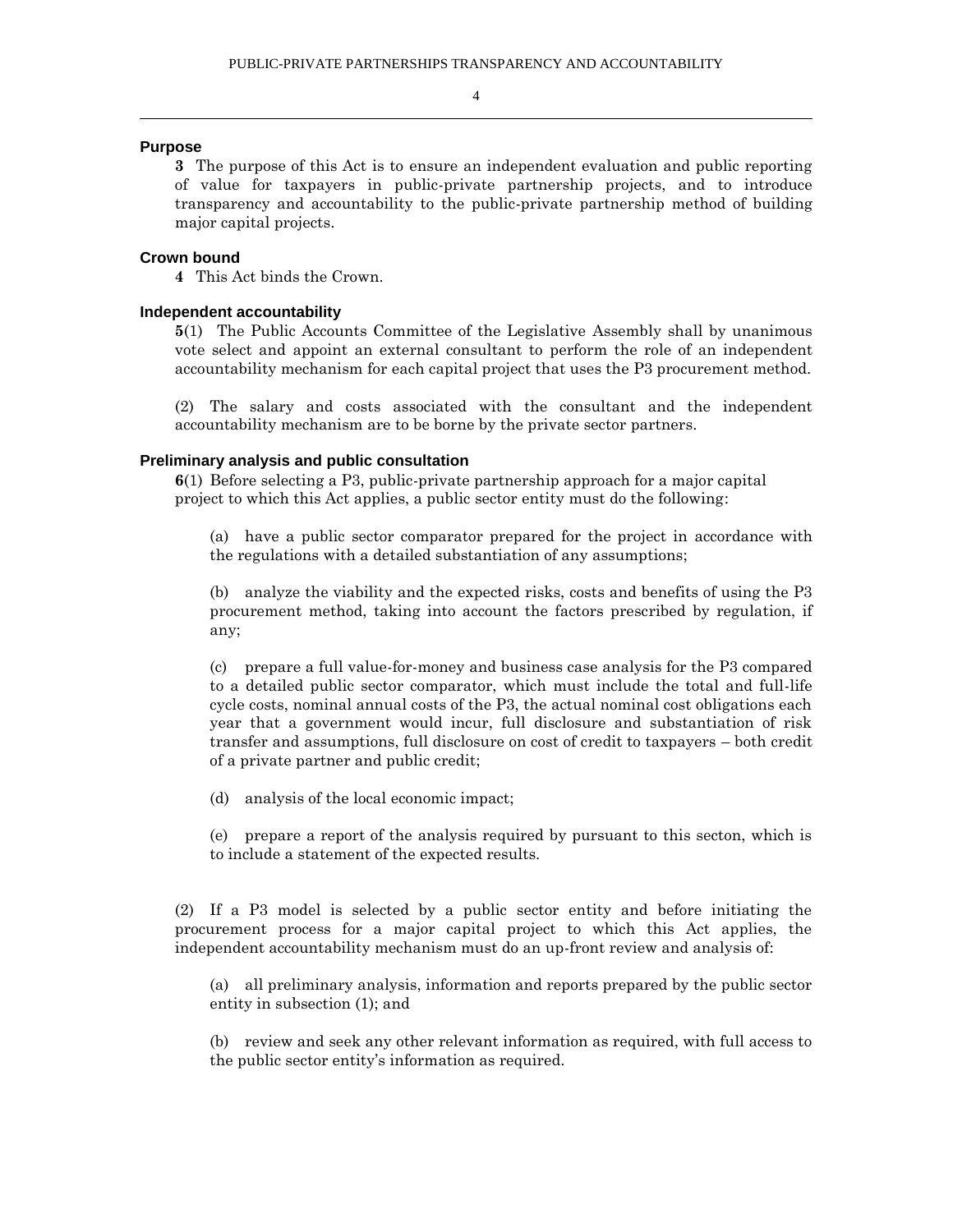#### **Purpose**

**3** The purpose of this Act is to ensure an independent evaluation and public reporting of value for taxpayers in public-private partnership projects, and to introduce transparency and accountability to the public-private partnership method of building major capital projects.

#### **Crown bound**

**4** This Act binds the Crown.

#### **Independent accountability**

**5**(1) The Public Accounts Committee of the Legislative Assembly shall by unanimous vote select and appoint an external consultant to perform the role of an independent accountability mechanism for each capital project that uses the P3 procurement method.

(2) The salary and costs associated with the consultant and the independent accountability mechanism are to be borne by the private sector partners.

#### **Preliminary analysis and public consultation**

**6**(1) Before selecting a P3, public-private partnership approach for a major capital project to which this Act applies, a public sector entity must do the following:

(a) have a public sector comparator prepared for the project in accordance with the regulations with a detailed substantiation of any assumptions;

(b) analyze the viability and the expected risks, costs and benefits of using the P3 procurement method, taking into account the factors prescribed by regulation, if any;

(c) prepare a full value-for-money and business case analysis for the P3 compared to a detailed public sector comparator, which must include the total and full-life cycle costs, nominal annual costs of the P3, the actual nominal cost obligations each year that a government would incur, full disclosure and substantiation of risk transfer and assumptions, full disclosure on cost of credit to taxpayers – both credit of a private partner and public credit;

(d) analysis of the local economic impact;

(e) prepare a report of the analysis required by pursuant to this secton, which is to include a statement of the expected results.

(2) If a P3 model is selected by a public sector entity and before initiating the procurement process for a major capital project to which this Act applies, the independent accountability mechanism must do an up-front review and analysis of:

(a) all preliminary analysis, information and reports prepared by the public sector entity in subsection (1); and

(b) review and seek any other relevant information as required, with full access to the public sector entity's information as required.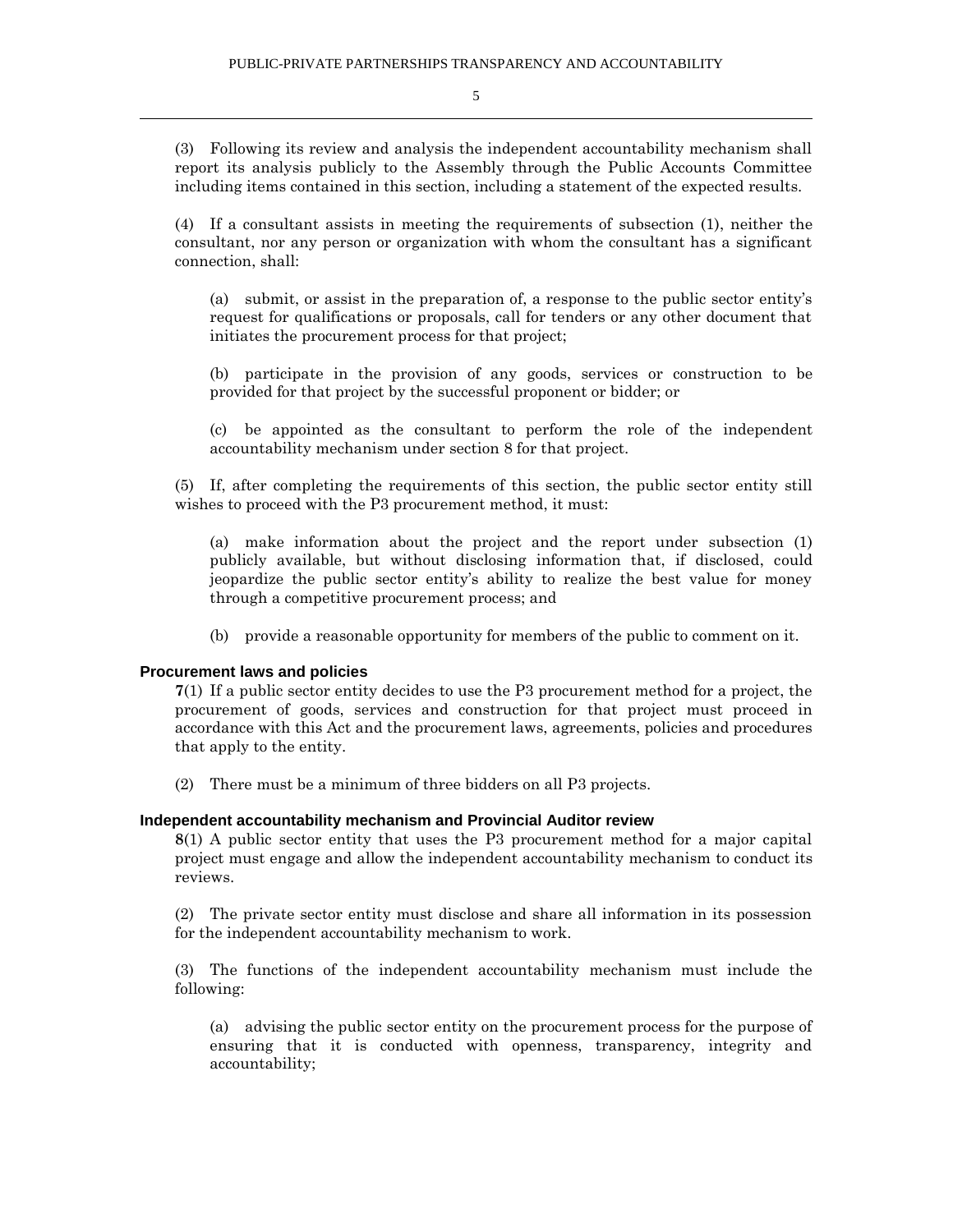(3) Following its review and analysis the independent accountability mechanism shall report its analysis publicly to the Assembly through the Public Accounts Committee including items contained in this section, including a statement of the expected results.

(4) If a consultant assists in meeting the requirements of subsection (1), neither the consultant, nor any person or organization with whom the consultant has a significant connection, shall:

(a) submit, or assist in the preparation of, a response to the public sector entity's request for qualifications or proposals, call for tenders or any other document that initiates the procurement process for that project;

(b) participate in the provision of any goods, services or construction to be provided for that project by the successful proponent or bidder; or

(c) be appointed as the consultant to perform the role of the independent accountability mechanism under section 8 for that project.

(5) If, after completing the requirements of this section, the public sector entity still wishes to proceed with the P3 procurement method, it must:

(a) make information about the project and the report under subsection (1) publicly available, but without disclosing information that, if disclosed, could jeopardize the public sector entity's ability to realize the best value for money through a competitive procurement process; and

(b) provide a reasonable opportunity for members of the public to comment on it.

#### **Procurement laws and policies**

**7**(1) If a public sector entity decides to use the P3 procurement method for a project, the procurement of goods, services and construction for that project must proceed in accordance with this Act and the procurement laws, agreements, policies and procedures that apply to the entity.

(2) There must be a minimum of three bidders on all P3 projects.

#### **Independent accountability mechanism and Provincial Auditor review**

**8**(1) A public sector entity that uses the P3 procurement method for a major capital project must engage and allow the independent accountability mechanism to conduct its reviews.

(2) The private sector entity must disclose and share all information in its possession for the independent accountability mechanism to work.

(3) The functions of the independent accountability mechanism must include the following:

(a) advising the public sector entity on the procurement process for the purpose of ensuring that it is conducted with openness, transparency, integrity and accountability;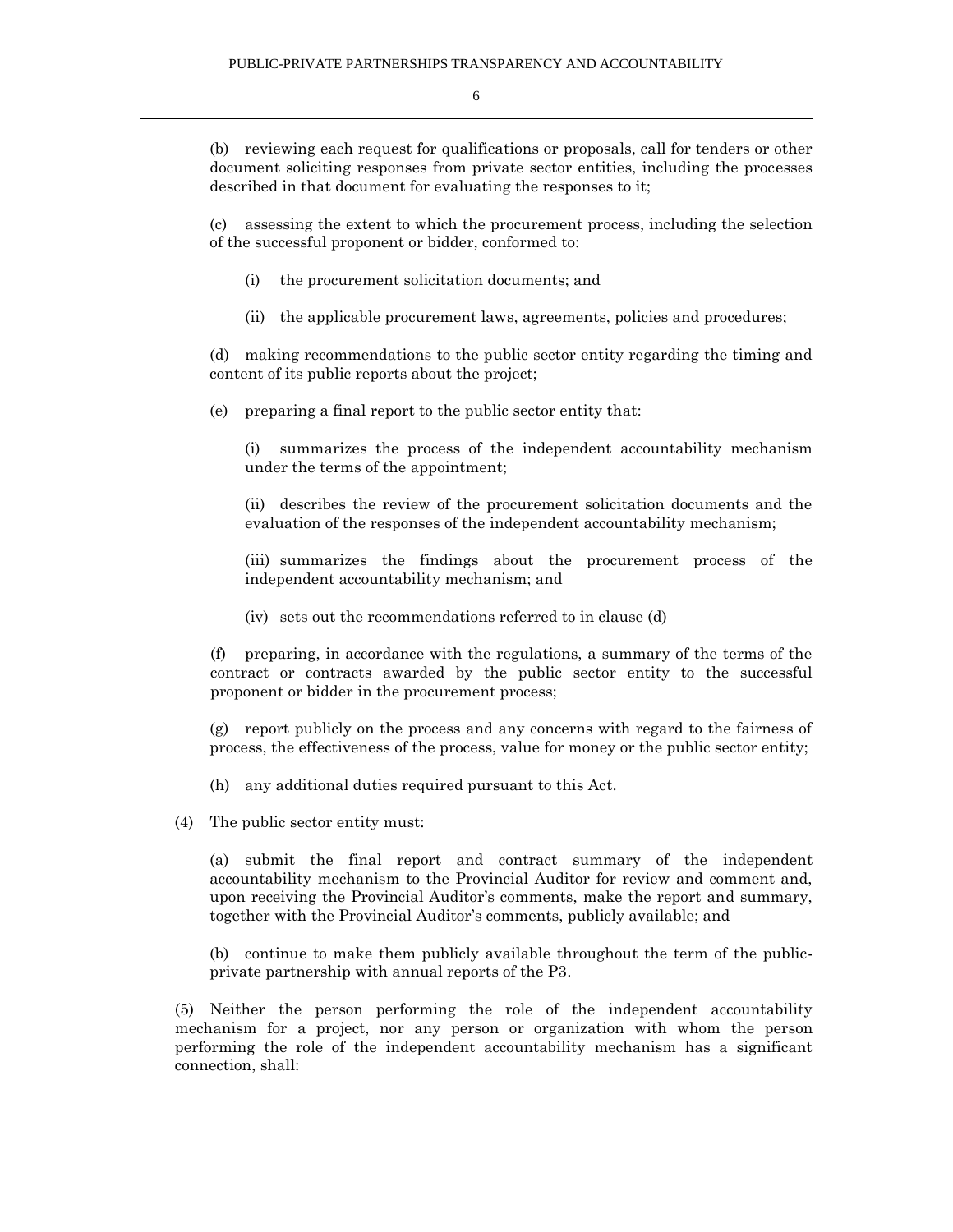(b) reviewing each request for qualifications or proposals, call for tenders or other document soliciting responses from private sector entities, including the processes described in that document for evaluating the responses to it;

(c) assessing the extent to which the procurement process, including the selection of the successful proponent or bidder, conformed to:

- (i) the procurement solicitation documents; and
- (ii) the applicable procurement laws, agreements, policies and procedures;

(d) making recommendations to the public sector entity regarding the timing and content of its public reports about the project;

(e) preparing a final report to the public sector entity that:

(i) summarizes the process of the independent accountability mechanism under the terms of the appointment;

(ii) describes the review of the procurement solicitation documents and the evaluation of the responses of the independent accountability mechanism;

(iii) summarizes the findings about the procurement process of the independent accountability mechanism; and

(iv) sets out the recommendations referred to in clause (d)

(f) preparing, in accordance with the regulations, a summary of the terms of the contract or contracts awarded by the public sector entity to the successful proponent or bidder in the procurement process;

(g) report publicly on the process and any concerns with regard to the fairness of process, the effectiveness of the process, value for money or the public sector entity;

(h) any additional duties required pursuant to this Act.

(4) The public sector entity must:

(a) submit the final report and contract summary of the independent accountability mechanism to the Provincial Auditor for review and comment and, upon receiving the Provincial Auditor's comments, make the report and summary, together with the Provincial Auditor's comments, publicly available; and

(b) continue to make them publicly available throughout the term of the publicprivate partnership with annual reports of the P3.

(5) Neither the person performing the role of the independent accountability mechanism for a project, nor any person or organization with whom the person performing the role of the independent accountability mechanism has a significant connection, shall: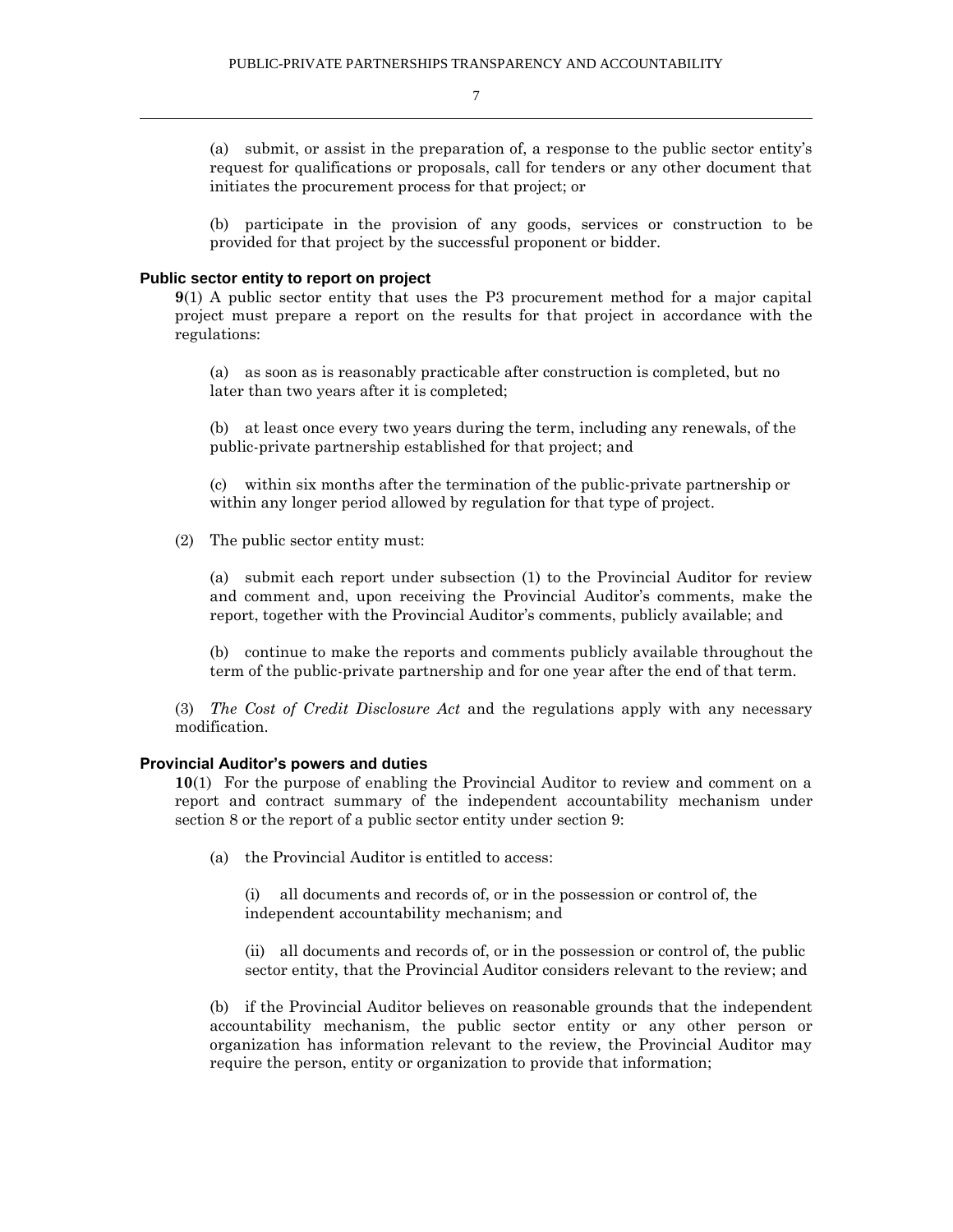(a) submit, or assist in the preparation of, a response to the public sector entity's request for qualifications or proposals, call for tenders or any other document that initiates the procurement process for that project; or

(b) participate in the provision of any goods, services or construction to be provided for that project by the successful proponent or bidder.

#### **Public sector entity to report on project**

**9**(1) A public sector entity that uses the P3 procurement method for a major capital project must prepare a report on the results for that project in accordance with the regulations:

(a) as soon as is reasonably practicable after construction is completed, but no later than two years after it is completed;

(b) at least once every two years during the term, including any renewals, of the public-private partnership established for that project; and

(c) within six months after the termination of the public-private partnership or within any longer period allowed by regulation for that type of project.

(2) The public sector entity must:

(a) submit each report under subsection (1) to the Provincial Auditor for review and comment and, upon receiving the Provincial Auditor's comments, make the report, together with the Provincial Auditor's comments, publicly available; and

(b) continue to make the reports and comments publicly available throughout the term of the public-private partnership and for one year after the end of that term.

(3) *The Cost of Credit Disclosure Act* and the regulations apply with any necessary modification.

#### **Provincial Auditor's powers and duties**

**10**(1) For the purpose of enabling the Provincial Auditor to review and comment on a report and contract summary of the independent accountability mechanism under section 8 or the report of a public sector entity under section 9:

(a) the Provincial Auditor is entitled to access:

(i) all documents and records of, or in the possession or control of, the independent accountability mechanism; and

(ii) all documents and records of, or in the possession or control of, the public sector entity, that the Provincial Auditor considers relevant to the review; and

(b) if the Provincial Auditor believes on reasonable grounds that the independent accountability mechanism, the public sector entity or any other person or organization has information relevant to the review, the Provincial Auditor may require the person, entity or organization to provide that information;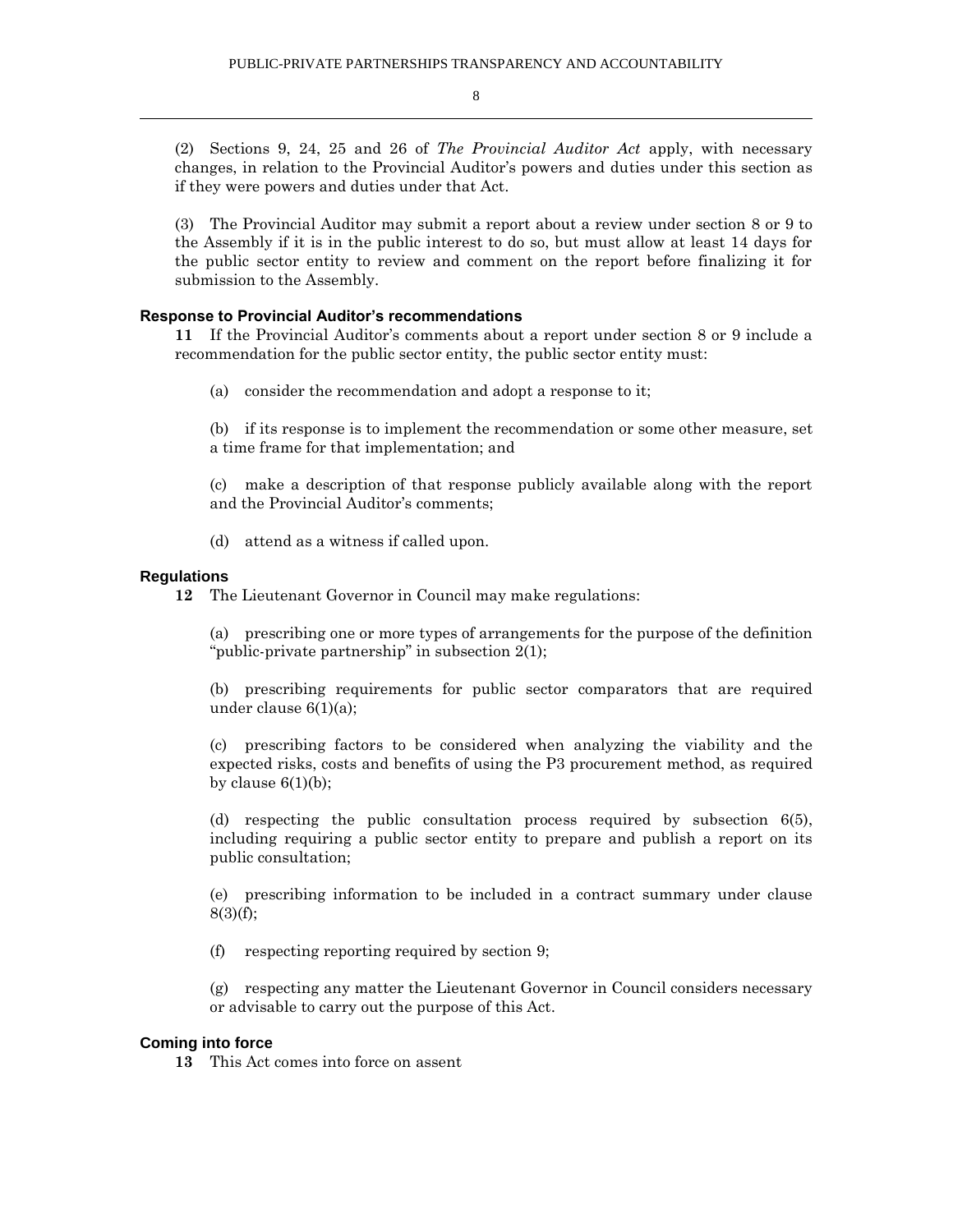(2) Sections 9, 24, 25 and 26 of *The Provincial Auditor Act* apply, with necessary changes, in relation to the Provincial Auditor's powers and duties under this section as if they were powers and duties under that Act.

(3) The Provincial Auditor may submit a report about a review under section 8 or 9 to the Assembly if it is in the public interest to do so, but must allow at least 14 days for the public sector entity to review and comment on the report before finalizing it for submission to the Assembly.

#### **Response to Provincial Auditor's recommendations**

**11** If the Provincial Auditor's comments about a report under section 8 or 9 include a recommendation for the public sector entity, the public sector entity must:

(a) consider the recommendation and adopt a response to it;

(b) if its response is to implement the recommendation or some other measure, set a time frame for that implementation; and

(c) make a description of that response publicly available along with the report and the Provincial Auditor's comments;

(d) attend as a witness if called upon.

#### **Regulations**

**12** The Lieutenant Governor in Council may make regulations:

(a) prescribing one or more types of arrangements for the purpose of the definition "public-private partnership" in subsection 2(1);

(b) prescribing requirements for public sector comparators that are required under clause 6(1)(a);

(c) prescribing factors to be considered when analyzing the viability and the expected risks, costs and benefits of using the P3 procurement method, as required by clause  $6(1)(b)$ ;

(d) respecting the public consultation process required by subsection 6(5), including requiring a public sector entity to prepare and publish a report on its public consultation;

(e) prescribing information to be included in a contract summary under clause 8(3)(f);

(f) respecting reporting required by section 9;

(g) respecting any matter the Lieutenant Governor in Council considers necessary or advisable to carry out the purpose of this Act.

#### **Coming into force**

**13** This Act comes into force on assent